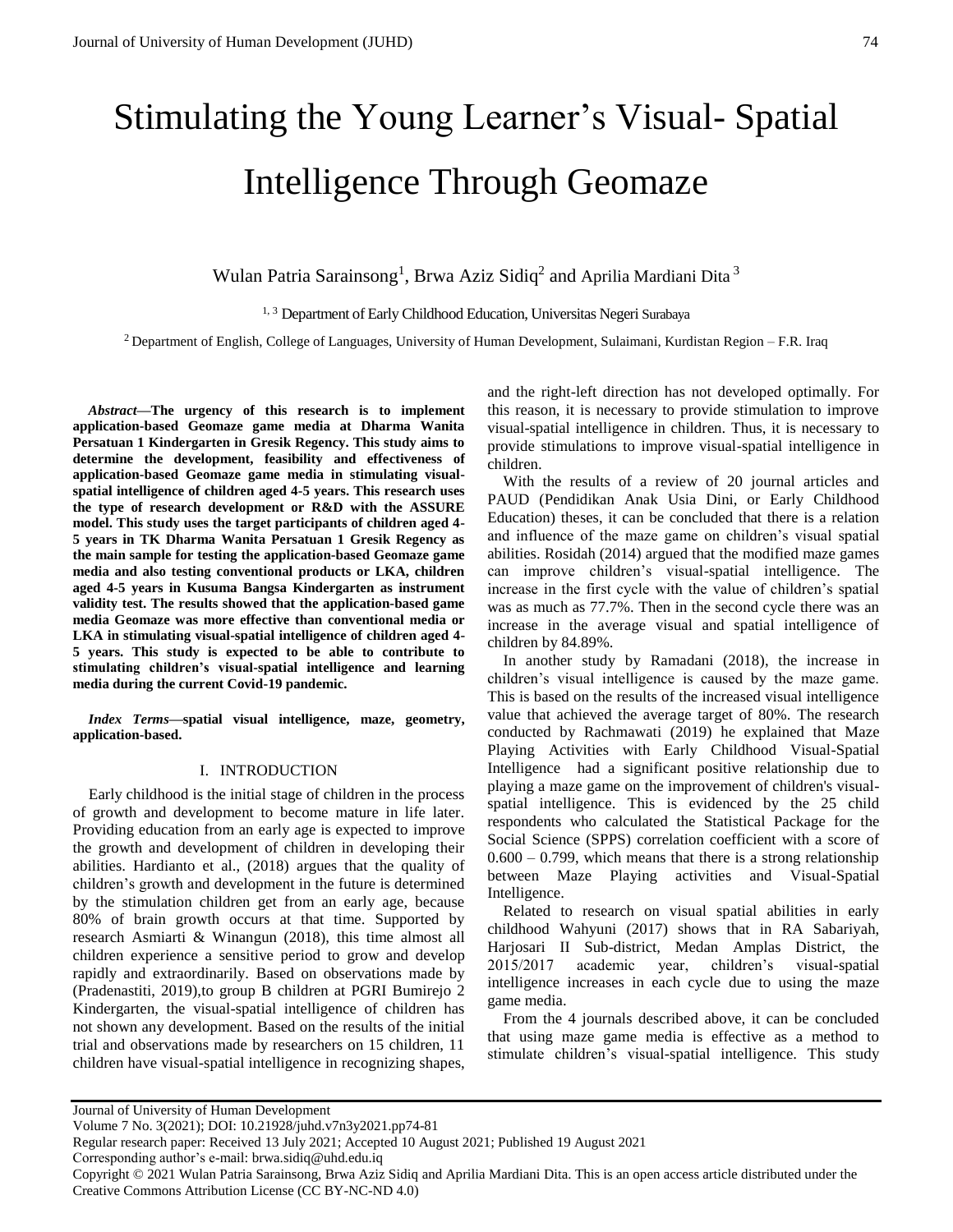# Stimulating the Young Learner's Visual- Spatial Intelligence Through Geomaze

Wulan Patria Sarainsong<sup>1</sup>, Brwa Aziz Sidiq<sup>2</sup> and Aprilia Mardiani Dita<sup>3</sup>

<sup>1, 3</sup> Department of Early Childhood Education, Universitas Negeri Surabaya

 $2$  Department of English, College of Languages, University of Human Development, Sulaimani, Kurdistan Region – F.R. Iraq

*Abstract***—The urgency of this research is to implement application-based Geomaze game media at Dharma Wanita Persatuan 1 Kindergarten in Gresik Regency. This study aims to determine the development, feasibility and effectiveness of application-based Geomaze game media in stimulating visualspatial intelligence of children aged 4-5 years. This research uses the type of research development or R&D with the ASSURE model. This study uses the target participants of children aged 4- 5 years in TK Dharma Wanita Persatuan 1 Gresik Regency as the main sample for testing the application-based Geomaze game media and also testing conventional products or LKA, children aged 4-5 years in Kusuma Bangsa Kindergarten as instrument validity test. The results showed that the application-based game media Geomaze was more effective than conventional media or LKA in stimulating visual-spatial intelligence of children aged 4- 5 years. This study is expected to be able to contribute to stimulating children's visual-spatial intelligence and learning media during the current Covid-19 pandemic.**

*Index Terms***—spatial visual intelligence, maze, geometry, application-based.** 

## I. INTRODUCTION

Early childhood is the initial stage of children in the process of growth and development to become mature in life later. Providing education from an early age is expected to improve the growth and development of children in developing their abilities. Hardianto et al., (2018) argues that the quality of children's growth and development in the future is determined by the stimulation children get from an early age, because 80% of brain growth occurs at that time. Supported by research Asmiarti & Winangun (2018), this time almost all children experience a sensitive period to grow and develop rapidly and extraordinarily. Based on observations made by (Pradenastiti, 2019),to group B children at PGRI Bumirejo 2 Kindergarten, the visual-spatial intelligence of children has not shown any development. Based on the results of the initial trial and observations made by researchers on 15 children, 11 children have visual-spatial intelligence in recognizing shapes,

and the right-left direction has not developed optimally. For this reason, it is necessary to provide stimulation to improve visual-spatial intelligence in children. Thus, it is necessary to provide stimulations to improve visual-spatial intelligence in children.

With the results of a review of 20 journal articles and PAUD (Pendidikan Anak Usia Dini, or Early Childhood Education) theses, it can be concluded that there is a relation and influence of the maze game on children's visual spatial abilities. Rosidah (2014) argued that the modified maze games can improve children's visual-spatial intelligence. The increase in the first cycle with the value of children's spatial was as much as 77.7%. Then in the second cycle there was an increase in the average visual and spatial intelligence of children by 84.89%.

In another study by Ramadani (2018), the increase in children's visual intelligence is caused by the maze game. This is based on the results of the increased visual intelligence value that achieved the average target of 80%. The research conducted by Rachmawati (2019) he explained that Maze Playing Activities with Early Childhood Visual-Spatial Intelligence had a significant positive relationship due to playing a maze game on the improvement of children's visualspatial intelligence. This is evidenced by the 25 child respondents who calculated the Statistical Package for the Social Science (SPPS) correlation coefficient with a score of  $0.600 - 0.799$ , which means that there is a strong relationship between Maze Playing activities and Visual-Spatial Intelligence.

Related to research on visual spatial abilities in early childhood Wahyuni (2017) shows that in RA Sabariyah, Harjosari II Sub-district, Medan Amplas District, the 2015/2017 academic year, children's visual-spatial intelligence increases in each cycle due to using the maze game media.

From the 4 journals described above, it can be concluded that using maze game media is effective as a method to stimulate children's visual-spatial intelligence. This study

Corresponding author's e-mail: brwa.sidiq@uhd.edu.iq

Copyright © 2021 Wulan Patria Sarainsong, Brwa Aziz Sidiq and Aprilia Mardiani Dita. This is an open access article distributed under the Creative Commons Attribution License (CC BY-NC-ND 4.0)

Journal of University of Human Development

Volume 7 No. 3(2021); DOI: 10.21928/juhd.v7n3y2021.pp74-81

Regular research paper: Received 13 July 2021; Accepted 10 August 2021; Published 19 August 2021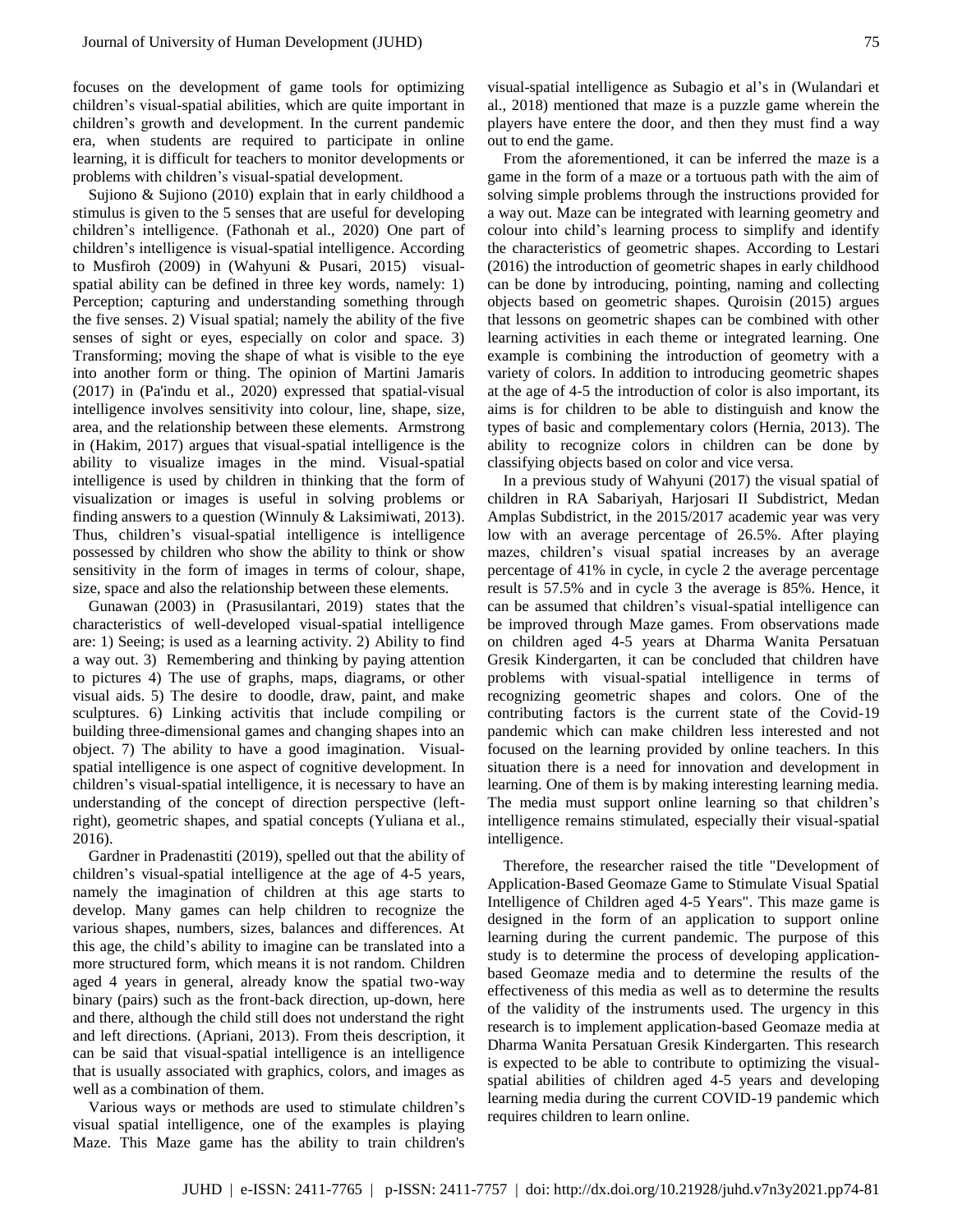focuses on the development of game tools for optimizing children's visual-spatial abilities, which are quite important in children's growth and development. In the current pandemic era, when students are required to participate in online learning, it is difficult for teachers to monitor developments or problems with children's visual-spatial development.

Sujiono & Sujiono (2010) explain that in early childhood a stimulus is given to the 5 senses that are useful for developing children's intelligence. (Fathonah et al., 2020) One part of children's intelligence is visual-spatial intelligence. According to Musfiroh (2009) in (Wahyuni & Pusari, 2015) visualspatial ability can be defined in three key words, namely: 1) Perception; capturing and understanding something through the five senses. 2) Visual spatial; namely the ability of the five senses of sight or eyes, especially on color and space. 3) Transforming; moving the shape of what is visible to the eye into another form or thing. The opinion of Martini Jamaris (2017) in (Pa'indu et al., 2020) expressed that spatial-visual intelligence involves sensitivity into colour, line, shape, size, area, and the relationship between these elements. Armstrong in (Hakim, 2017) argues that visual-spatial intelligence is the ability to visualize images in the mind. Visual-spatial intelligence is used by children in thinking that the form of visualization or images is useful in solving problems or finding answers to a question (Winnuly & Laksimiwati, 2013). Thus, children's visual-spatial intelligence is intelligence possessed by children who show the ability to think or show sensitivity in the form of images in terms of colour, shape, size, space and also the relationship between these elements.

Gunawan (2003) in (Prasusilantari, 2019) states that the characteristics of well-developed visual-spatial intelligence are: 1) Seeing; is used as a learning activity. 2) Ability to find a way out. 3) Remembering and thinking by paying attention to pictures 4) The use of graphs, maps, diagrams, or other visual aids. 5) The desire to doodle, draw, paint, and make sculptures. 6) Linking activitis that include compiling or building three-dimensional games and changing shapes into an object. 7) The ability to have a good imagination. Visualspatial intelligence is one aspect of cognitive development. In children's visual-spatial intelligence, it is necessary to have an understanding of the concept of direction perspective (leftright), geometric shapes, and spatial concepts (Yuliana et al., 2016).

Gardner in Pradenastiti (2019), spelled out that the ability of children's visual-spatial intelligence at the age of 4-5 years, namely the imagination of children at this age starts to develop. Many games can help children to recognize the various shapes, numbers, sizes, balances and differences. At this age, the child's ability to imagine can be translated into a more structured form, which means it is not random. Children aged 4 years in general, already know the spatial two-way binary (pairs) such as the front-back direction, up-down, here and there, although the child still does not understand the right and left directions. (Apriani, 2013). From theis description, it can be said that visual-spatial intelligence is an intelligence that is usually associated with graphics, colors, and images as well as a combination of them.

Various ways or methods are used to stimulate children's visual spatial intelligence, one of the examples is playing Maze. This Maze game has the ability to train children's

visual-spatial intelligence as Subagio et al's in (Wulandari et al., 2018) mentioned that maze is a puzzle game wherein the players have entere the door, and then they must find a way out to end the game.

From the aforementioned, it can be inferred the maze is a game in the form of a maze or a tortuous path with the aim of solving simple problems through the instructions provided for a way out. Maze can be integrated with learning geometry and colour into child's learning process to simplify and identify the characteristics of geometric shapes. According to Lestari (2016) the introduction of geometric shapes in early childhood can be done by introducing, pointing, naming and collecting objects based on geometric shapes. Quroisin (2015) argues that lessons on geometric shapes can be combined with other learning activities in each theme or integrated learning. One example is combining the introduction of geometry with a variety of colors. In addition to introducing geometric shapes at the age of 4-5 the introduction of color is also important, its aims is for children to be able to distinguish and know the types of basic and complementary colors (Hernia, 2013). The ability to recognize colors in children can be done by classifying objects based on color and vice versa.

In a previous study of Wahyuni (2017) the visual spatial of children in RA Sabariyah, Harjosari II Subdistrict, Medan Amplas Subdistrict, in the 2015/2017 academic year was very low with an average percentage of 26.5%. After playing mazes, children's visual spatial increases by an average percentage of 41% in cycle, in cycle 2 the average percentage result is 57.5% and in cycle 3 the average is 85%. Hence, it can be assumed that children's visual-spatial intelligence can be improved through Maze games. From observations made on children aged 4-5 years at Dharma Wanita Persatuan Gresik Kindergarten, it can be concluded that children have problems with visual-spatial intelligence in terms of recognizing geometric shapes and colors. One of the contributing factors is the current state of the Covid-19 pandemic which can make children less interested and not focused on the learning provided by online teachers. In this situation there is a need for innovation and development in learning. One of them is by making interesting learning media. The media must support online learning so that children's intelligence remains stimulated, especially their visual-spatial intelligence.

Therefore, the researcher raised the title "Development of Application-Based Geomaze Game to Stimulate Visual Spatial Intelligence of Children aged 4-5 Years". This maze game is designed in the form of an application to support online learning during the current pandemic. The purpose of this study is to determine the process of developing applicationbased Geomaze media and to determine the results of the effectiveness of this media as well as to determine the results of the validity of the instruments used. The urgency in this research is to implement application-based Geomaze media at Dharma Wanita Persatuan Gresik Kindergarten. This research is expected to be able to contribute to optimizing the visualspatial abilities of children aged 4-5 years and developing learning media during the current COVID-19 pandemic which requires children to learn online.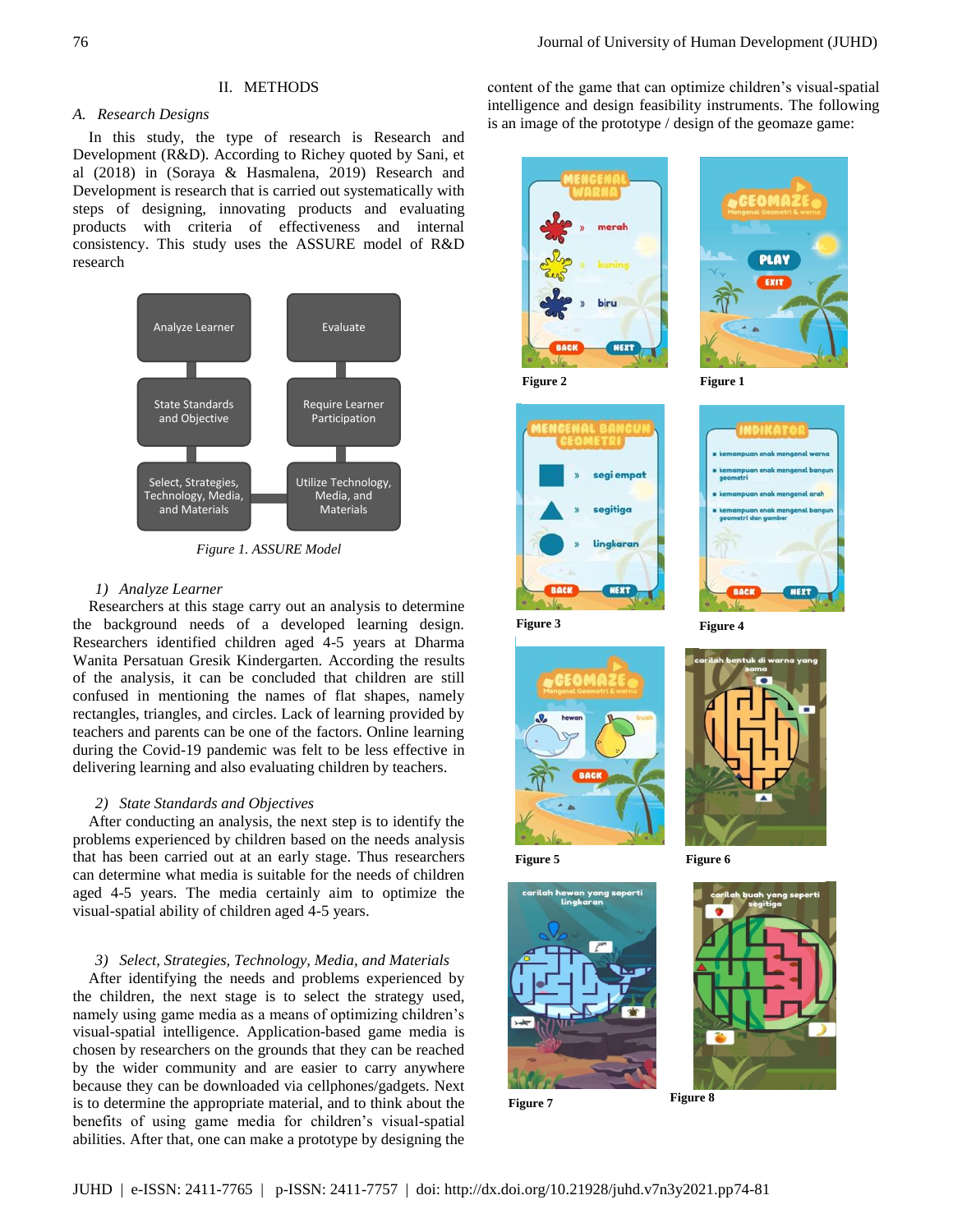## II. METHODS

## *A. Research Designs*

In this study, the type of research is Research and Development (R&D). According to Richey quoted by Sani, et al (2018) in (Soraya & Hasmalena, 2019) Research and Development is research that is carried out systematically with steps of designing, innovating products and evaluating products with criteria of effectiveness and internal consistency. This study uses the ASSURE model of R&D research



*Figure 1. ASSURE Model*

## *1) Analyze Learner*

Researchers at this stage carry out an analysis to determine the background needs of a developed learning design. Researchers identified children aged 4-5 years at Dharma Wanita Persatuan Gresik Kindergarten. According the results of the analysis, it can be concluded that children are still confused in mentioning the names of flat shapes, namely rectangles, triangles, and circles. Lack of learning provided by teachers and parents can be one of the factors. Online learning during the Covid-19 pandemic was felt to be less effective in delivering learning and also evaluating children by teachers.

#### *2) State Standards and Objectives*

After conducting an analysis, the next step is to identify the problems experienced by children based on the needs analysis that has been carried out at an early stage. Thus researchers can determine what media is suitable for the needs of children aged 4-5 years. The media certainly aim to optimize the visual-spatial ability of children aged 4-5 years.

#### *3) Select, Strategies, Technology, Media, and Materials*

After identifying the needs and problems experienced by the children, the next stage is to select the strategy used, namely using game media as a means of optimizing children's visual-spatial intelligence. Application-based game media is chosen by researchers on the grounds that they can be reached by the wider community and are easier to carry anywhere because they can be downloaded via cellphones/gadgets. Next is to determine the appropriate material, and to think about the benefits of using game media for children's visual-spatial abilities. After that, one can make a prototype by designing the content of the game that can optimize children's visual-spatial intelligence and design feasibility instruments. The following is an image of the prototype / design of the geomaze game:



**Figure 2 Figure 1**











Figure 5 **Figure 6** 



**Figure 7**

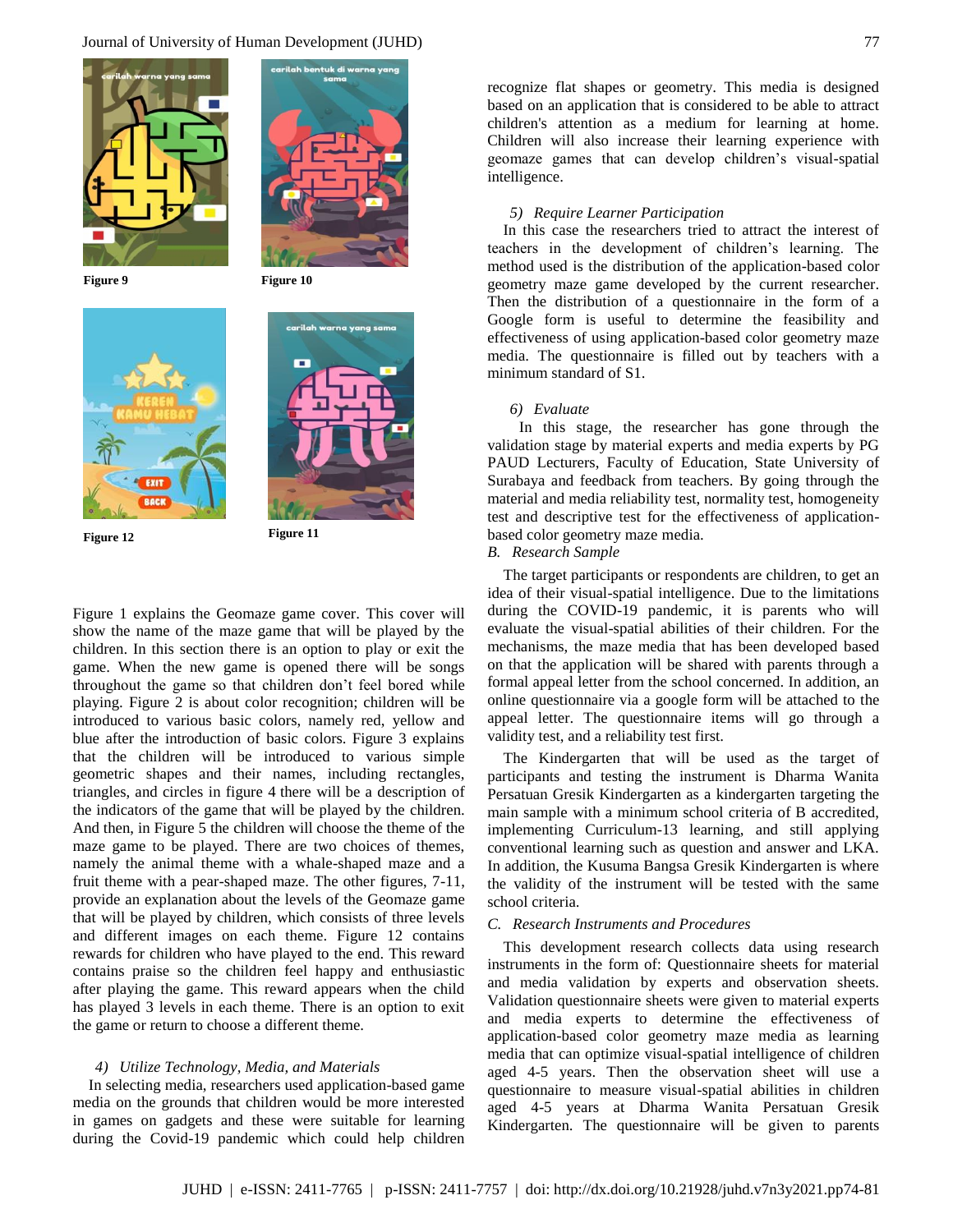



**Figure 12 Figure 11** 





Figure 1 explains the Geomaze game cover. This cover will show the name of the maze game that will be played by the children. In this section there is an option to play or exit the game. When the new game is opened there will be songs throughout the game so that children don't feel bored while playing. Figure 2 is about color recognition; children will be introduced to various basic colors, namely red, yellow and blue after the introduction of basic colors. Figure 3 explains that the children will be introduced to various simple geometric shapes and their names, including rectangles, triangles, and circles in figure 4 there will be a description of the indicators of the game that will be played by the children. And then, in Figure 5 the children will choose the theme of the maze game to be played. There are two choices of themes, namely the animal theme with a whale-shaped maze and a fruit theme with a pear-shaped maze. The other figures, 7-11, provide an explanation about the levels of the Geomaze game that will be played by children, which consists of three levels and different images on each theme. Figure 12 contains rewards for children who have played to the end. This reward contains praise so the children feel happy and enthusiastic after playing the game. This reward appears when the child has played 3 levels in each theme. There is an option to exit the game or return to choose a different theme.

#### *4) Utilize Technology, Media, and Materials*

In selecting media, researchers used application-based game media on the grounds that children would be more interested in games on gadgets and these were suitable for learning during the Covid-19 pandemic which could help children recognize flat shapes or geometry. This media is designed based on an application that is considered to be able to attract children's attention as a medium for learning at home. Children will also increase their learning experience with geomaze games that can develop children's visual-spatial intelligence.

#### *5) Require Learner Participation*

In this case the researchers tried to attract the interest of teachers in the development of children's learning. The method used is the distribution of the application-based color geometry maze game developed by the current researcher. Then the distribution of a questionnaire in the form of a Google form is useful to determine the feasibility and effectiveness of using application-based color geometry maze media. The questionnaire is filled out by teachers with a minimum standard of S1.

## *6) Evaluate*

In this stage, the researcher has gone through the validation stage by material experts and media experts by PG PAUD Lecturers, Faculty of Education, State University of Surabaya and feedback from teachers. By going through the material and media reliability test, normality test, homogeneity test and descriptive test for the effectiveness of applicationbased color geometry maze media.

## *B. Research Sample*

The target participants or respondents are children, to get an idea of their visual-spatial intelligence. Due to the limitations during the COVID-19 pandemic, it is parents who will evaluate the visual-spatial abilities of their children. For the mechanisms, the maze media that has been developed based on that the application will be shared with parents through a formal appeal letter from the school concerned. In addition, an online questionnaire via a google form will be attached to the appeal letter. The questionnaire items will go through a validity test, and a reliability test first.

The Kindergarten that will be used as the target of participants and testing the instrument is Dharma Wanita Persatuan Gresik Kindergarten as a kindergarten targeting the main sample with a minimum school criteria of B accredited, implementing Curriculum-13 learning, and still applying conventional learning such as question and answer and LKA. In addition, the Kusuma Bangsa Gresik Kindergarten is where the validity of the instrument will be tested with the same school criteria.

## *C. Research Instruments and Procedures*

This development research collects data using research instruments in the form of: Questionnaire sheets for material and media validation by experts and observation sheets. Validation questionnaire sheets were given to material experts and media experts to determine the effectiveness of application-based color geometry maze media as learning media that can optimize visual-spatial intelligence of children aged 4-5 years. Then the observation sheet will use a questionnaire to measure visual-spatial abilities in children aged 4-5 years at Dharma Wanita Persatuan Gresik Kindergarten. The questionnaire will be given to parents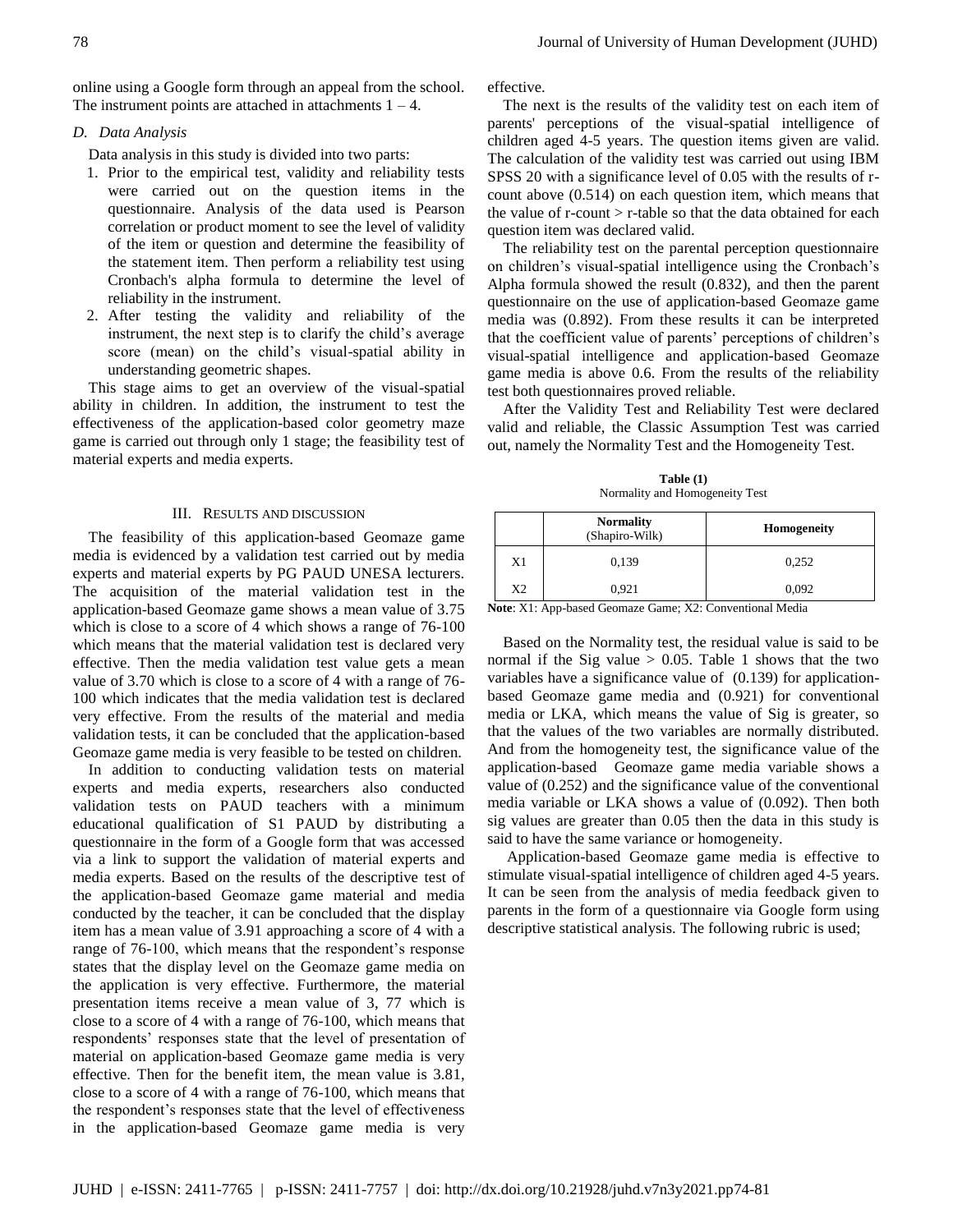online using a Google form through an appeal from the school. The instrument points are attached in attachments  $1 - 4$ .

## *D. Data Analysis*

Data analysis in this study is divided into two parts:

- 1. Prior to the empirical test, validity and reliability tests were carried out on the question items in the questionnaire. Analysis of the data used is Pearson correlation or product moment to see the level of validity of the item or question and determine the feasibility of the statement item. Then perform a reliability test using Cronbach's alpha formula to determine the level of reliability in the instrument.
- 2. After testing the validity and reliability of the instrument, the next step is to clarify the child's average score (mean) on the child's visual-spatial ability in understanding geometric shapes.

This stage aims to get an overview of the visual-spatial ability in children. In addition, the instrument to test the effectiveness of the application-based color geometry maze game is carried out through only 1 stage; the feasibility test of material experts and media experts.

## III. RESULTS AND DISCUSSION

The feasibility of this application-based Geomaze game media is evidenced by a validation test carried out by media experts and material experts by PG PAUD UNESA lecturers. The acquisition of the material validation test in the application-based Geomaze game shows a mean value of 3.75 which is close to a score of 4 which shows a range of 76-100 which means that the material validation test is declared very effective. Then the media validation test value gets a mean value of 3.70 which is close to a score of 4 with a range of 76- 100 which indicates that the media validation test is declared very effective. From the results of the material and media validation tests, it can be concluded that the application-based Geomaze game media is very feasible to be tested on children.

In addition to conducting validation tests on material experts and media experts, researchers also conducted validation tests on PAUD teachers with a minimum educational qualification of S1 PAUD by distributing a questionnaire in the form of a Google form that was accessed via a link to support the validation of material experts and media experts. Based on the results of the descriptive test of the application-based Geomaze game material and media conducted by the teacher, it can be concluded that the display item has a mean value of 3.91 approaching a score of 4 with a range of 76-100, which means that the respondent's response states that the display level on the Geomaze game media on the application is very effective. Furthermore, the material presentation items receive a mean value of 3, 77 which is close to a score of 4 with a range of 76-100, which means that respondents' responses state that the level of presentation of material on application-based Geomaze game media is very effective. Then for the benefit item, the mean value is 3.81, close to a score of 4 with a range of 76-100, which means that the respondent's responses state that the level of effectiveness in the application-based Geomaze game media is very effective.

The next is the results of the validity test on each item of parents' perceptions of the visual-spatial intelligence of children aged 4-5 years. The question items given are valid. The calculation of the validity test was carried out using IBM SPSS 20 with a significance level of 0.05 with the results of rcount above (0.514) on each question item, which means that the value of r-count > r-table so that the data obtained for each question item was declared valid.

The reliability test on the parental perception questionnaire on children's visual-spatial intelligence using the Cronbach's Alpha formula showed the result (0.832), and then the parent questionnaire on the use of application-based Geomaze game media was (0.892). From these results it can be interpreted that the coefficient value of parents' perceptions of children's visual-spatial intelligence and application-based Geomaze game media is above 0.6. From the results of the reliability test both questionnaires proved reliable.

After the Validity Test and Reliability Test were declared valid and reliable, the Classic Assumption Test was carried out, namely the Normality Test and the Homogeneity Test.

**Table (1)** Normality and Homogeneity Test

|                | <b>Normality</b><br>(Shapiro-Wilk) | <b>Homogeneity</b> |  |
|----------------|------------------------------------|--------------------|--|
| X1             | 0,139                              | 0,252              |  |
| X <sub>2</sub> | 0,921                              | 0,092              |  |

**Note**: X1: App-based Geomaze Game; X2: Conventional Media

Based on the Normality test, the residual value is said to be normal if the Sig value  $> 0.05$ . Table 1 shows that the two variables have a significance value of (0.139) for applicationbased Geomaze game media and (0.921) for conventional media or LKA, which means the value of Sig is greater, so that the values of the two variables are normally distributed. And from the homogeneity test, the significance value of the application-based Geomaze game media variable shows a value of (0.252) and the significance value of the conventional media variable or LKA shows a value of (0.092). Then both sig values are greater than 0.05 then the data in this study is said to have the same variance or homogeneity.

Application-based Geomaze game media is effective to stimulate visual-spatial intelligence of children aged 4-5 years. It can be seen from the analysis of media feedback given to parents in the form of a questionnaire via Google form using descriptive statistical analysis. The following rubric is used;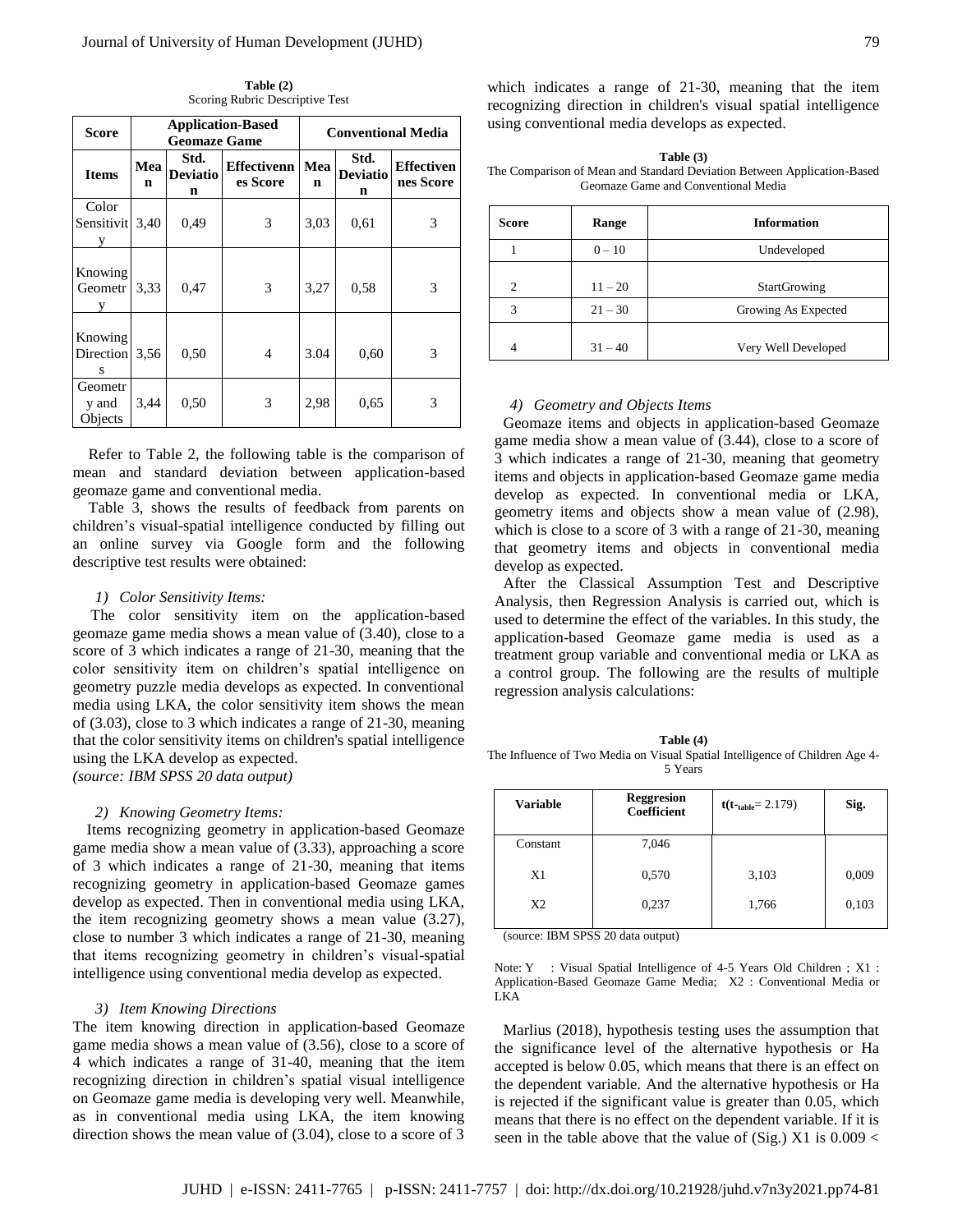| <b>Score</b>                | <b>Application-Based</b><br><b>Geomaze Game</b> |                                        |                                | <b>Conventional Media</b> |                              |                                |
|-----------------------------|-------------------------------------------------|----------------------------------------|--------------------------------|---------------------------|------------------------------|--------------------------------|
| <b>Items</b>                | Mea<br>n                                        | Std.<br><b>Deviatio</b><br>$\mathbf n$ | <b>Effectivenn</b><br>es Score | Mea<br>n                  | Std.<br><b>Deviatio</b><br>n | <b>Effectiven</b><br>nes Score |
| Color<br>Sensitivit<br>y    | 3,40                                            | 0.49                                   | 3                              | 3,03                      | 0,61                         | 3                              |
| Knowing<br>Geometr          | 3.33                                            | 0,47                                   | 3                              | 3,27                      | 0.58                         | 3                              |
| Knowing<br>Direction<br>S   | 3,56                                            | 0,50                                   | 4                              | 3.04                      | 0,60                         | 3                              |
| Geometr<br>y and<br>Objects | 3,44                                            | 0,50                                   | 3                              | 2,98                      | 0,65                         | 3                              |

**Table (2)** Scoring Rubric Descriptive Test

Refer to Table 2, the following table is the comparison of mean and standard deviation between application-based geomaze game and conventional media.

Table 3, shows the results of feedback from parents on children's visual-spatial intelligence conducted by filling out an online survey via Google form and the following descriptive test results were obtained:

#### *1) Color Sensitivity Items:*

The color sensitivity item on the application-based geomaze game media shows a mean value of (3.40), close to a score of 3 which indicates a range of 21-30, meaning that the color sensitivity item on children's spatial intelligence on geometry puzzle media develops as expected. In conventional media using LKA, the color sensitivity item shows the mean of (3.03), close to 3 which indicates a range of 21-30, meaning that the color sensitivity items on children's spatial intelligence using the LKA develop as expected. *(source: IBM SPSS 20 data output)*

#### *2) Knowing Geometry Items:*

Items recognizing geometry in application-based Geomaze game media show a mean value of (3.33), approaching a score of 3 which indicates a range of 21-30, meaning that items recognizing geometry in application-based Geomaze games develop as expected. Then in conventional media using LKA, the item recognizing geometry shows a mean value (3.27), close to number 3 which indicates a range of 21-30, meaning that items recognizing geometry in children's visual-spatial intelligence using conventional media develop as expected.

#### *3) Item Knowing Directions*

The item knowing direction in application-based Geomaze game media shows a mean value of (3.56), close to a score of 4 which indicates a range of 31-40, meaning that the item recognizing direction in children's spatial visual intelligence on Geomaze game media is developing very well. Meanwhile, as in conventional media using LKA, the item knowing direction shows the mean value of (3.04), close to a score of 3

which indicates a range of 21-30, meaning that the item recognizing direction in children's visual spatial intelligence using conventional media develops as expected.

| Table $(3)$                                                             |  |  |  |  |
|-------------------------------------------------------------------------|--|--|--|--|
| The Comparison of Mean and Standard Deviation Between Application-Based |  |  |  |  |
| Geomaze Game and Conventional Media                                     |  |  |  |  |

| <b>Score</b>   | Range     | <b>Information</b>  |
|----------------|-----------|---------------------|
|                | $0 - 10$  | Undeveloped         |
| $\overline{c}$ | $11 - 20$ | <b>StartGrowing</b> |
| 3              | $21 - 30$ | Growing As Expected |
| 4              | $31 - 40$ | Very Well Developed |

#### *4) Geometry and Objects Items*

Geomaze items and objects in application-based Geomaze game media show a mean value of (3.44), close to a score of 3 which indicates a range of 21-30, meaning that geometry items and objects in application-based Geomaze game media develop as expected. In conventional media or LKA, geometry items and objects show a mean value of (2.98), which is close to a score of 3 with a range of 21-30, meaning that geometry items and objects in conventional media develop as expected.

After the Classical Assumption Test and Descriptive Analysis, then Regression Analysis is carried out, which is used to determine the effect of the variables. In this study, the application-based Geomaze game media is used as a treatment group variable and conventional media or LKA as a control group. The following are the results of multiple regression analysis calculations:

| Table (4)                                                                    |
|------------------------------------------------------------------------------|
| The Influence of Two Media on Visual Spatial Intelligence of Children Age 4- |
| 5 Years                                                                      |

| <b>Variable</b> | <b>Reggresion</b><br><b>Coefficient</b> | $t(t_{table} = 2.179)$ | Sig.  |
|-----------------|-----------------------------------------|------------------------|-------|
| Constant        | 7,046                                   |                        |       |
| X1              | 0,570                                   | 3,103                  | 0,009 |
| X <sub>2</sub>  | 0,237                                   | 1,766                  | 0,103 |

(source: IBM SPSS 20 data output)

Note: Y : Visual Spatial Intelligence of 4-5 Years Old Children; X1: Application-Based Geomaze Game Media; X2 : Conventional Media or LKA

Marlius (2018), hypothesis testing uses the assumption that the significance level of the alternative hypothesis or Ha accepted is below 0.05, which means that there is an effect on the dependent variable. And the alternative hypothesis or Ha is rejected if the significant value is greater than 0.05, which means that there is no effect on the dependent variable. If it is seen in the table above that the value of (Sig.) X1 is  $0.009 <$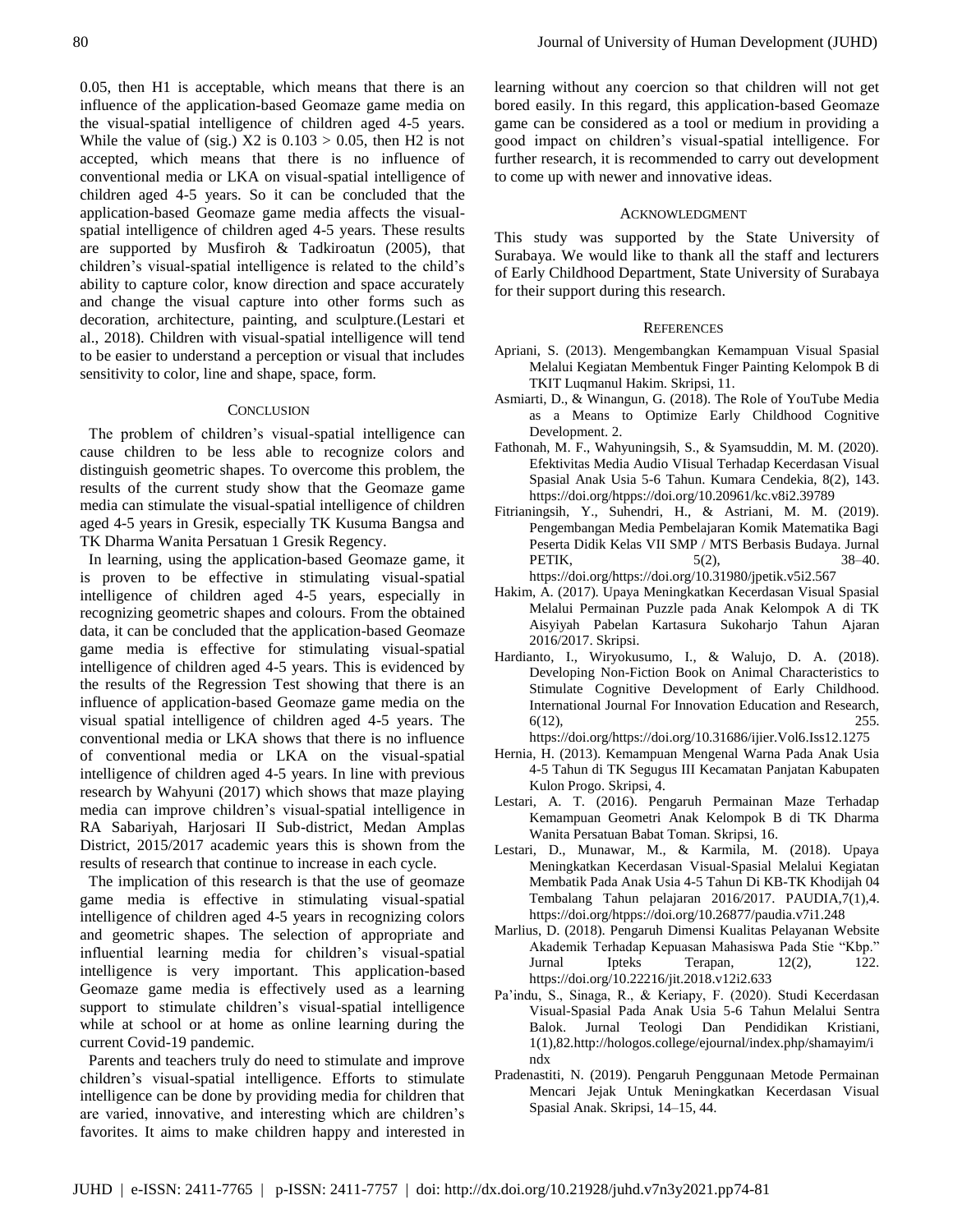0.05, then H1 is acceptable, which means that there is an influence of the application-based Geomaze game media on the visual-spatial intelligence of children aged 4-5 years. While the value of (sig.)  $X2$  is  $0.103 > 0.05$ , then H2 is not accepted, which means that there is no influence of conventional media or LKA on visual-spatial intelligence of children aged 4-5 years. So it can be concluded that the application-based Geomaze game media affects the visualspatial intelligence of children aged 4-5 years. These results are supported by Musfiroh & Tadkiroatun (2005), that children's visual-spatial intelligence is related to the child's ability to capture color, know direction and space accurately and change the visual capture into other forms such as decoration, architecture, painting, and sculpture.(Lestari et al., 2018). Children with visual-spatial intelligence will tend to be easier to understand a perception or visual that includes sensitivity to color, line and shape, space, form.

## **CONCLUSION**

The problem of children's visual-spatial intelligence can cause children to be less able to recognize colors and distinguish geometric shapes. To overcome this problem, the results of the current study show that the Geomaze game media can stimulate the visual-spatial intelligence of children aged 4-5 years in Gresik, especially TK Kusuma Bangsa and TK Dharma Wanita Persatuan 1 Gresik Regency.

In learning, using the application-based Geomaze game, it is proven to be effective in stimulating visual-spatial intelligence of children aged 4-5 years, especially in recognizing geometric shapes and colours. From the obtained data, it can be concluded that the application-based Geomaze game media is effective for stimulating visual-spatial intelligence of children aged 4-5 years. This is evidenced by the results of the Regression Test showing that there is an influence of application-based Geomaze game media on the visual spatial intelligence of children aged 4-5 years. The conventional media or LKA shows that there is no influence of conventional media or LKA on the visual-spatial intelligence of children aged 4-5 years. In line with previous research by Wahyuni (2017) which shows that maze playing media can improve children's visual-spatial intelligence in RA Sabariyah, Harjosari II Sub-district, Medan Amplas District, 2015/2017 academic years this is shown from the results of research that continue to increase in each cycle.

The implication of this research is that the use of geomaze game media is effective in stimulating visual-spatial intelligence of children aged 4-5 years in recognizing colors and geometric shapes. The selection of appropriate and influential learning media for children's visual-spatial intelligence is very important. This application-based Geomaze game media is effectively used as a learning support to stimulate children's visual-spatial intelligence while at school or at home as online learning during the current Covid-19 pandemic.

Parents and teachers truly do need to stimulate and improve children's visual-spatial intelligence. Efforts to stimulate intelligence can be done by providing media for children that are varied, innovative, and interesting which are children's favorites. It aims to make children happy and interested in

learning without any coercion so that children will not get bored easily. In this regard, this application-based Geomaze game can be considered as a tool or medium in providing a good impact on children's visual-spatial intelligence. For further research, it is recommended to carry out development to come up with newer and innovative ideas.

#### ACKNOWLEDGMENT

This study was supported by the State University of Surabaya. We would like to thank all the staff and lecturers of Early Childhood Department, State University of Surabaya for their support during this research.

#### **REFERENCES**

- Apriani, S. (2013). Mengembangkan Kemampuan Visual Spasial Melalui Kegiatan Membentuk Finger Painting Kelompok B di TKIT Luqmanul Hakim. Skripsi, 11.
- Asmiarti, D., & Winangun, G. (2018). The Role of YouTube Media as a Means to Optimize Early Childhood Cognitive Development. 2.
- Fathonah, M. F., Wahyuningsih, S., & Syamsuddin, M. M. (2020). Efektivitas Media Audio VIisual Terhadap Kecerdasan Visual Spasial Anak Usia 5-6 Tahun. Kumara Cendekia, 8(2), 143. https://doi.org/htpps://doi.org/10.20961/kc.v8i2.39789
- Fitrianingsih, Y., Suhendri, H., & Astriani, M. M. (2019). Pengembangan Media Pembelajaran Komik Matematika Bagi Peserta Didik Kelas VII SMP / MTS Berbasis Budaya. Jurnal PETIK,  $5(2)$ , 38–40. https://doi.org/https://doi.org/10.31980/jpetik.v5i2.567
- Hakim, A. (2017). Upaya Meningkatkan Kecerdasan Visual Spasial Melalui Permainan Puzzle pada Anak Kelompok A di TK Aisyiyah Pabelan Kartasura Sukoharjo Tahun Ajaran 2016/2017. Skripsi.
- Hardianto, I., Wiryokusumo, I., & Walujo, D. A. (2018). Developing Non-Fiction Book on Animal Characteristics to Stimulate Cognitive Development of Early Childhood. International Journal For Innovation Education and Research,  $6(12)$ , 255.

[https://doi.org/https://doi.org/10.31686/ijier.Vol6.Iss12.1275](https://doi.org/https:/doi.org/10.31686/ijier.Vol6.Iss12.1275)

- Hernia, H. (2013). Kemampuan Mengenal Warna Pada Anak Usia 4-5 Tahun di TK Segugus III Kecamatan Panjatan Kabupaten Kulon Progo. Skripsi, 4.
- Lestari, A. T. (2016). Pengaruh Permainan Maze Terhadap Kemampuan Geometri Anak Kelompok B di TK Dharma Wanita Persatuan Babat Toman. Skripsi, 16.
- Lestari, D., Munawar, M., & Karmila, M. (2018). Upaya Meningkatkan Kecerdasan Visual-Spasial Melalui Kegiatan Membatik Pada Anak Usia 4-5 Tahun Di KB-TK Khodijah 04 Tembalang Tahun pelajaran 2016/2017. PAUDIA,7(1),4. https://doi.org/htpps://doi.org/10.26877/paudia.v7i1.248
- Marlius, D. (2018). Pengaruh Dimensi Kualitas Pelayanan Website Akademik Terhadap Kepuasan Mahasiswa Pada Stie "Kbp." Jurnal Ipteks Terapan,  $12(2)$ , 122. https://doi.org/10.22216/jit.2018.v12i2.633
- Pa'indu, S., Sinaga, R., & Keriapy, F. (2020). Studi Kecerdasan Visual-Spasial Pada Anak Usia 5-6 Tahun Melalui Sentra Balok. Jurnal Teologi Dan Pendidikan Kristiani, 1(1),82.http://hologos.college/ejournal/index.php/shamayim/i ndx
- Pradenastiti, N. (2019). Pengaruh Penggunaan Metode Permainan Mencari Jejak Untuk Meningkatkan Kecerdasan Visual Spasial Anak. Skripsi, 14–15, 44.